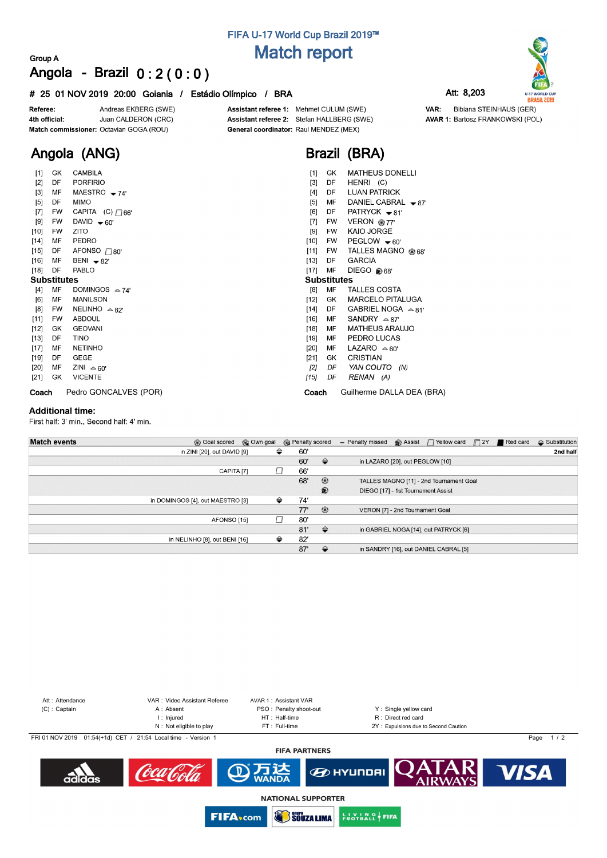# **FIFA U-17 World Cup Brazil 2019™ Match report**

## **Group A Angola - Brazil 0 : 2 ( 0 : 0 )**

### **# 25 01 NOV 2019 20:00 Goiania / Estádio Olímpico / BRA Att: 8,203**

Andreas EKBERG (SWE) Referee: Juan CALDERON (CRC) 4th official: Match commissioner: Octavian GOGA (ROU)

Assistant referee 1: Mehmet CULUM (SWE) Assistant referee 2: Stefan HALLBERG (SWE)

**AVAR 1: Bartosz FRANKOWSKI (POL)** 

VAR:

**U-17 WORLD CUP**<br>**BRASIL 2019** Bibiana STEINHAUS (GER)

**Angola (ANG)**

| $[1]$ | GK                 | CAMBILA                 |
|-------|--------------------|-------------------------|
| [2]   | DF                 | <b>PORFIRIO</b>         |
| $[3]$ | ΜF                 | MAESTRO $-74'$          |
| $[5]$ | DF a               | <b>MIMO</b>             |
| $[7]$ | FW                 | CAPITA $(C)$ $\Box$ 66' |
| [9]   | FW                 | DAVID $\div 60^\circ$   |
|       | [10] FW            | <b>ZITO</b>             |
| [14]  |                    | MF PEDRO                |
| [15]  | DF <sub>1</sub>    | AFONSO $\Box$ 80'       |
|       | [16] MF            | BENI $\div 82'$         |
| [18]  | DF                 | <b>PABLO</b>            |
|       |                    |                         |
|       | <b>Substitutes</b> |                         |
| [4]   | MF                 | DOMINGOS $\approx$ 74'  |
| [6]   | MF                 | MANILSON                |
|       | [8] FW             | NELINHO $\approx$ 82'   |
|       |                    | [11] FW ABDOUL          |
|       |                    | [12] GK GEOVANI         |
| [13]  | DF                 | <b>TINO</b>             |
| [17]  | MF                 | <b>NETINHO</b>          |
| [19]  | DF                 | <b>GEGE</b>             |
| [20]  |                    | MF ZINI $\approx 60'$   |
| [21]  | GK                 | <b>VICENTE</b>          |

**Coach** Pedro GONCALVES (POR)

General coordinator: Raul MENDEZ (MEX)



| $[1]$              | GK        | <b>MATHEUS DONELLI</b>      |
|--------------------|-----------|-----------------------------|
| [3]                | DF        | HENRI (C)                   |
| $[4]$              | DF        | <b>LUAN PATRICK</b>         |
| [5]                | MF        | DANIEL CABRAL $\bullet$ 87' |
| [6]                | DF        | PATRYCK $\bullet$ 81'       |
| $[7]$              | FW.       | VERON @77'                  |
| [9]                | <b>FW</b> | KAIO JORGE                  |
| [10]               | FW.       | PEGLOW $\div 60'$           |
| [11]               | FW        | TALLES MAGNO @ 68'          |
| $[13]$             | DF        | <b>GARCIA</b>               |
| $[17]$             | MF        | DIEGO @68'                  |
| <b>Substitutes</b> |           |                             |
| [8]                | MF        | <b>TALLES COSTA</b>         |
| [12]               | GK        | <b>MARCELO PITALUGA</b>     |
| [14]               | DF        | GABRIEL NOGA $\approx 81'$  |
| [16]               | MF        | SANDRY $\triangle 87'$      |
| [18]               | MF        | <b>MATHEUS ARAUJO</b>       |
| [19]               | MF        | PEDRO LUCAS                 |
| [20]               | MF        | LAZARO $\approx 60'$        |
| [21]               | GK        | <b>CRISTIAN</b>             |
| [2]                |           | DF YAN COUTO (N)            |
| [15]               | DF        | RENAN (A)                   |
| Coach              |           | Guilherme DALLA DEA (BRA)   |

### **Additional time:**

First half: 3' min., Second half: 4' min.

| <b>Match events</b> | <b>B</b> Goal scored             | © Own goal | <b>B</b> Penalty scored |     |                | - Penalty missed                   | <b>B</b> Assist | $\Box$ Yellow card                      | $\sqrt{2Y}$ | Red card | $\Leftrightarrow$ Substitution |
|---------------------|----------------------------------|------------|-------------------------|-----|----------------|------------------------------------|-----------------|-----------------------------------------|-------------|----------|--------------------------------|
|                     | in ZINI [20], out DAVID [9]      | ⇔          |                         | 60' |                |                                    |                 |                                         |             |          | 2nd half                       |
|                     |                                  |            |                         |     |                | in LAZARO [20], out PEGLOW [10]    |                 |                                         |             |          |                                |
|                     | CAPITA <sub>[7]</sub>            |            |                         | 66' |                |                                    |                 |                                         |             |          |                                |
|                     |                                  |            |                         | 68' | $\circledcirc$ |                                    |                 | TALLES MAGNO [11] - 2nd Tournament Goal |             |          |                                |
|                     |                                  |            |                         |     | $\circledast$  | DIEGO [17] - 1st Tournament Assist |                 |                                         |             |          |                                |
|                     | in DOMINGOS [4], out MAESTRO [3] | ⇔          |                         | 74' |                |                                    |                 |                                         |             |          |                                |
|                     |                                  |            |                         | 77' | $\circledcirc$ | VERON [7] - 2nd Tournament Goal    |                 |                                         |             |          |                                |
|                     | AFONSO [15]                      |            |                         | 80' |                |                                    |                 |                                         |             |          |                                |
|                     |                                  |            |                         | 81' | $\Rightarrow$  |                                    |                 | in GABRIEL NOGA [14], out PATRYCK [6]   |             |          |                                |
|                     | in NELINHO [8], out BENI [16]    | ⇔          |                         | 82' |                |                                    |                 |                                         |             |          |                                |
|                     |                                  |            |                         | 87' | $\Rightarrow$  |                                    |                 | in SANDRY [16], out DANIEL CABRAL [5]   |             |          |                                |